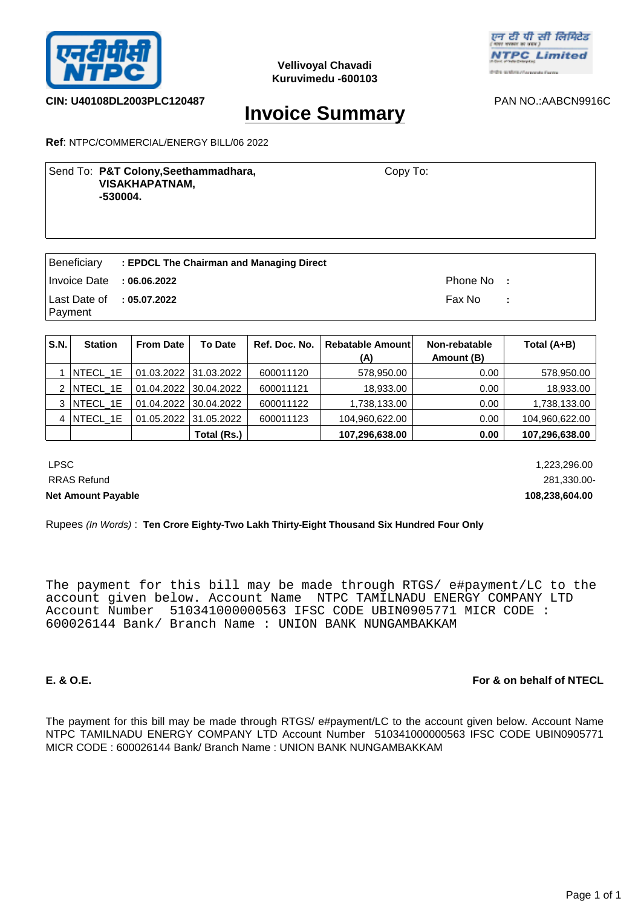



## **CIN: U40108DL2003PLC120487** PAN NO.:AABCN9916C

# **Invoice Summary**

**Ref**: NTPC/COMMERCIAL/ENERGY BILL/06 2022

Send To: P&T Colony, Seethammadhara, **Example 20 Send To:** Copy To:  **VISAKHAPATNAM, -530004.**

Copy To:

|                            | Beneficiary : EPDCL The Chairman and Managing Direct |            |  |
|----------------------------|------------------------------------------------------|------------|--|
| Invoice Date : 06.06.2022  |                                                      | Phone No : |  |
| ∣Last Date of<br>  Payment | : 05.07.2022                                         | Fax No :   |  |

| S.N. | <b>Station</b> | <b>From Date</b> | <b>To Date</b>        | Ref. Doc. No. | Rebatable Amount<br>(A) | Non-rebatable<br>Amount (B) | Total (A+B)    |
|------|----------------|------------------|-----------------------|---------------|-------------------------|-----------------------------|----------------|
|      | NTECL 1E       |                  | 01.03.2022 31.03.2022 | 600011120     | 578,950.00              | 0.00                        | 578,950.00     |
|      | NTECL 1E       | 01.04.2022       | 30.04.2022            | 600011121     | 18,933.00               | 0.00                        | 18,933.00      |
| 3    | NTECL 1E       |                  | 01.04.2022 30.04.2022 | 600011122     | 1,738,133.00            | 0.00                        | 1,738,133.00   |
| 4    | NTECL_1E       | 01.05.2022       | 31.05.2022            | 600011123     | 104,960,622.00          | 0.00                        | 104,960,622.00 |
|      |                |                  | Total (Rs.)           |               | 107,296,638.00          | 0.00                        | 107,296,638.00 |

 LPSC 1,223,296.00 RRAS Refund 281,330.00- **Net Amount Payable 108,238,604.00** 

Rupees *(In Words)* : **Ten Crore Eighty-Two Lakh Thirty-Eight Thousand Six Hundred Four Only**

The payment for this bill may be made through RTGS/ e#payment/LC to the account given below. Account Name NTPC TAMILNADU ENERGY COMPANY LTD Account Number 510341000000563 IFSC CODE UBIN0905771 MICR CODE : 600026144 Bank/ Branch Name : UNION BANK NUNGAMBAKKAM

## **E. & O.E. For & on behalf of NTECL**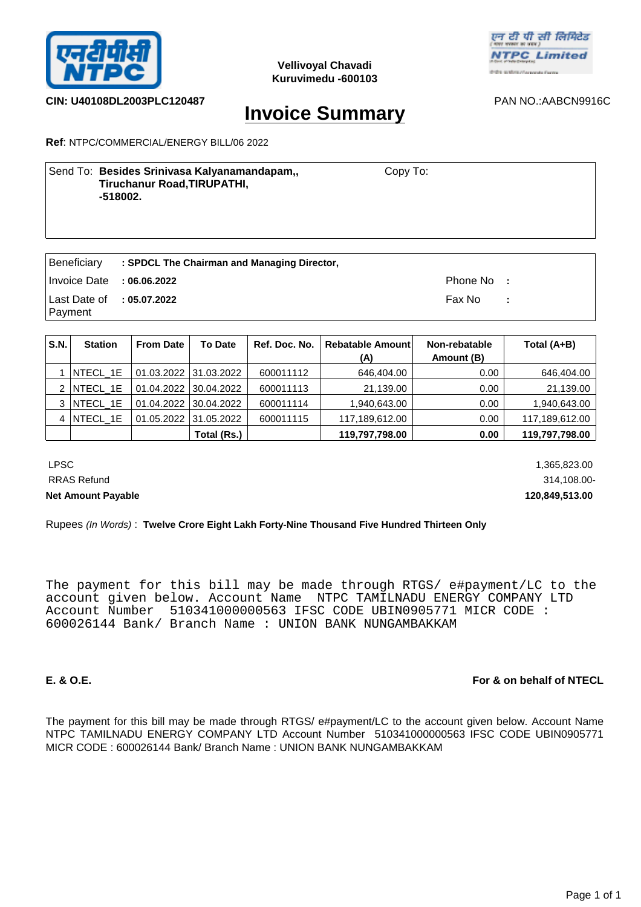



**CIN: U40108DL2003PLC120487** PAN NO.:AABCN9916C

# **Invoice Summary**

**Ref**: NTPC/COMMERCIAL/ENERGY BILL/06 2022

| Send To: Besides Srinivasa Kalyanamandapam,, | Copy To: |
|----------------------------------------------|----------|
| <b>Tiruchanur Road, TIRUPATHI,</b>           |          |
| -518002.                                     |          |
|                                              |          |

|                           | $\mid$ Beneficiary $\mid$ : SPDCL The Chairman and Managing Director, |            |  |
|---------------------------|-----------------------------------------------------------------------|------------|--|
| Invoice Date : 06.06.2022 |                                                                       | Phone No : |  |
| Last Date of : 05.07.2022 |                                                                       | Fax No : : |  |
| Payment                   |                                                                       |            |  |

| S.N. | <b>Station</b>  | <b>From Date</b> | <b>To Date</b>        | Ref. Doc. No. | Rebatable Amount<br>(A) | Non-rebatable<br>Amount (B) | Total (A+B)    |
|------|-----------------|------------------|-----------------------|---------------|-------------------------|-----------------------------|----------------|
|      | NTECL 1E        |                  | 01.03.2022 31.03.2022 | 600011112     | 646,404.00              | 0.00                        | 646,404.00     |
| 2    | <b>NTECL 1E</b> | 01.04.2022       | 30.04.2022            | 600011113     | 21,139.00               | 0.00                        | 21,139.00      |
| 3    | NTECL 1E        |                  | 01.04.2022 30.04.2022 | 600011114     | 1,940,643.00            | 0.00                        | 1,940,643.00   |
| 4    | NTECL_1E        | 01.05.2022       | 31.05.2022            | 600011115     | 117,189,612.00          | 0.00                        | 117,189,612.00 |
|      |                 |                  | Total (Rs.)           |               | 119,797,798.00          | 0.00                        | 119,797,798.00 |

 LPSC 1,365,823.00 RRAS Refund 314,108.00-**Net Amount Payable 120,849,513.00** 

Rupees *(In Words)* : **Twelve Crore Eight Lakh Forty-Nine Thousand Five Hundred Thirteen Only**

The payment for this bill may be made through RTGS/ e#payment/LC to the account given below. Account Name NTPC TAMILNADU ENERGY COMPANY LTD Account Number 510341000000563 IFSC CODE UBIN0905771 MICR CODE : 600026144 Bank/ Branch Name : UNION BANK NUNGAMBAKKAM

## **E. & O.E. For & on behalf of NTECL**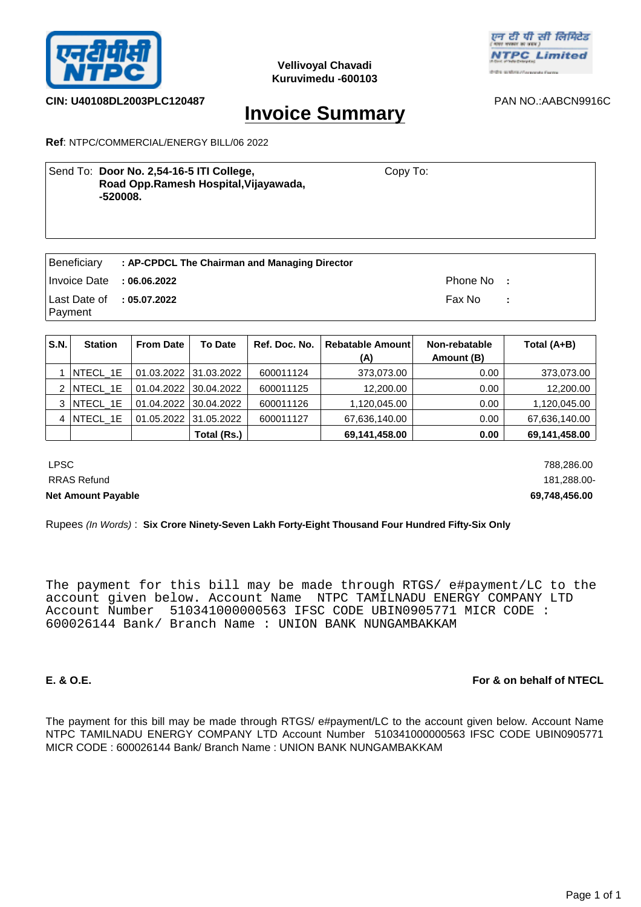



**CIN: U40108DL2003PLC120487** PAN NO.:AABCN9916C

# **Invoice Summary**

**Ref**: NTPC/COMMERCIAL/ENERGY BILL/06 2022

| Send To: Door No. 2,54-16-5 ITI College,<br>Road Opp.Ramesh Hospital, Vijayawada,<br>-520008. | Copy To: |  |
|-----------------------------------------------------------------------------------------------|----------|--|
|                                                                                               |          |  |

| Beneficiary                                       | : AP-CPDCL The Chairman and Managing Director |            |  |
|---------------------------------------------------|-----------------------------------------------|------------|--|
| Invoice Date : 06.06.2022                         |                                               | Phone No : |  |
| Last Date of $\therefore$ 05.07.2022<br>  Payment |                                               | Fax No :   |  |

| S.N. | <b>Station</b>  | <b>From Date</b> | <b>To Date</b>        | Ref. Doc. No. | Rebatable Amount<br>(A) | Non-rebatable<br>Amount (B) | Total (A+B)   |
|------|-----------------|------------------|-----------------------|---------------|-------------------------|-----------------------------|---------------|
|      | NTECL_1E        |                  | 01.03.2022 31.03.2022 | 600011124     | 373,073.00              | 0.00                        | 373,073.00    |
| 2    | <b>NTECL 1E</b> | 01.04.2022       | 30.04.2022            | 600011125     | 12,200.00               | 0.00                        | 12,200.00     |
| 3    | NTECL 1E        |                  | 01.04.2022 30.04.2022 | 600011126     | 1,120,045.00            | 0.00                        | 1,120,045.00  |
| 4    | NTECL 1E        | 01.05.2022       | 31.05.2022            | 600011127     | 67,636,140.00           | 0.00                        | 67,636,140.00 |
|      |                 |                  | Total (Rs.)           |               | 69,141,458.00           | 0.00                        | 69,141,458.00 |

 LPSC 788,286.00 RRAS Refund 181,288.00-**Net Amount Payable 69,748,456.00** 

Rupees *(In Words)* : **Six Crore Ninety-Seven Lakh Forty-Eight Thousand Four Hundred Fifty-Six Only**

The payment for this bill may be made through RTGS/ e#payment/LC to the account given below. Account Name NTPC TAMILNADU ENERGY COMPANY LTD Account Number 510341000000563 IFSC CODE UBIN0905771 MICR CODE : 600026144 Bank/ Branch Name : UNION BANK NUNGAMBAKKAM

## **E. & O.E. For & on behalf of NTECL**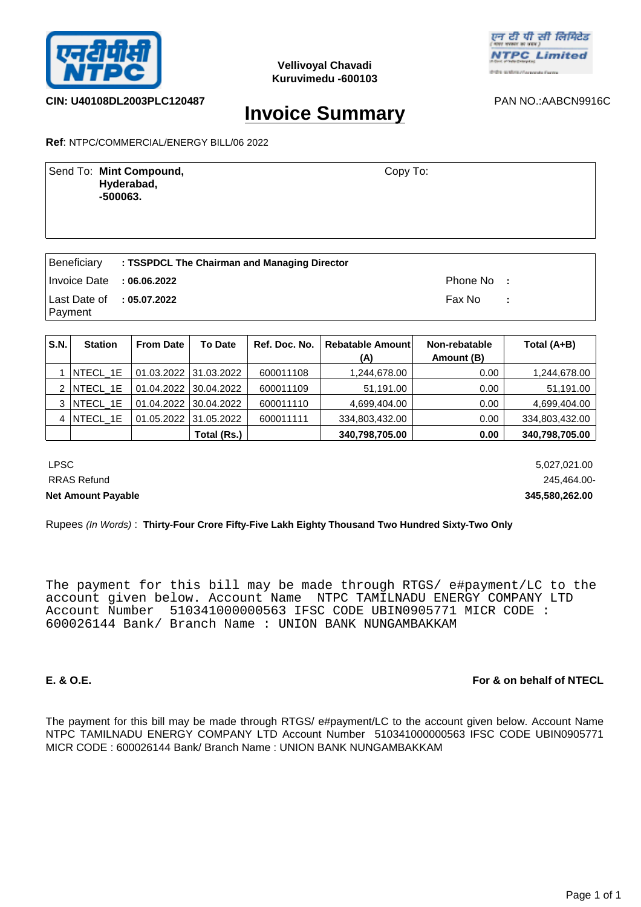



**CIN: U40108DL2003PLC120487** PAN NO.:AABCN9916C

**Invoice Summary**

**Ref**: NTPC/COMMERCIAL/ENERGY BILL/06 2022

Send To: **Mint Compound,** Send To: **Mint Compound, Hyderabad, -500063.** Copy To:

|                             | <b>Beneficiary : TSSPDCL The Chairman and Managing Director</b> |            |  |
|-----------------------------|-----------------------------------------------------------------|------------|--|
| Invoice Date : $06.06.2022$ |                                                                 | Phone No : |  |
| Last Date of : 05.07.2022   |                                                                 | Fax No :   |  |
| Payment                     |                                                                 |            |  |

| S.N. | <b>Station</b>  | <b>From Date</b> | <b>To Date</b>        | Ref. Doc. No. | Rebatable Amount<br>(A) | Non-rebatable<br>Amount (B) | Total (A+B)    |
|------|-----------------|------------------|-----------------------|---------------|-------------------------|-----------------------------|----------------|
|      | NTECL 1E        |                  | 01.03.2022 31.03.2022 | 600011108     | 1,244,678.00            | 0.00                        | 1,244,678.00   |
| 2    | NTECL 1E        | 01.04.2022       | 30.04.2022            | 600011109     | 51,191.00               | 0.00                        | 51,191.00      |
| 3    | <b>NTECL 1E</b> | 01.04.2022       | $ 30.04.2022\rangle$  | 600011110     | 4.699.404.00            | 0.00                        | 4.699.404.00   |
| 4    | NTECL_1E        | 01.05.2022       | 31.05.2022            | 600011111     | 334,803,432.00          | 0.00                        | 334,803,432.00 |
|      |                 |                  | Total (Rs.)           |               | 340,798,705.00          | 0.00                        | 340,798,705.00 |

 LPSC 5,027,021.00 RRAS Refund 245,464.00-**Net Amount Payable 345,580,262.00** 

Rupees *(In Words)* : **Thirty-Four Crore Fifty-Five Lakh Eighty Thousand Two Hundred Sixty-Two Only**

The payment for this bill may be made through RTGS/ e#payment/LC to the account given below. Account Name NTPC TAMILNADU ENERGY COMPANY LTD Account Number 510341000000563 IFSC CODE UBIN0905771 MICR CODE : 600026144 Bank/ Branch Name : UNION BANK NUNGAMBAKKAM

## **E. & O.E. For & on behalf of NTECL**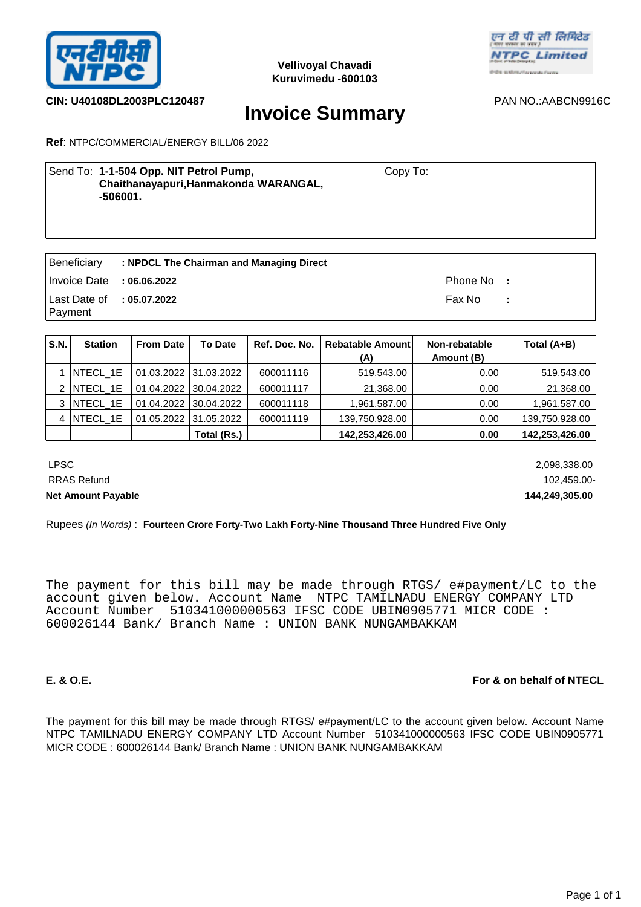



# **CIN: U40108DL2003PLC120487** PAN NO.:AABCN9916C

# **Invoice Summary**

**Ref**: NTPC/COMMERCIAL/ENERGY BILL/06 2022

| Send To: 1-1-504 Opp. NIT Petrol Pump,<br>Chaithanayapuri, Hanmakonda WARANGAL,<br>-506001. | Copy To: |
|---------------------------------------------------------------------------------------------|----------|
|                                                                                             |          |

| Beneficiary               | : NPDCL The Chairman and Managing Direct |            |  |
|---------------------------|------------------------------------------|------------|--|
| Invoice Date : 06.06.2022 |                                          | Phone No : |  |
| Last Date of : 05.07.2022 |                                          | Fax No :   |  |
| Payment                   |                                          |            |  |

| S.N. | <b>Station</b>  | <b>From Date</b> | <b>To Date</b>        | Ref. Doc. No. | Rebatable Amount<br>(A) | Non-rebatable<br>Amount (B) | Total (A+B)    |
|------|-----------------|------------------|-----------------------|---------------|-------------------------|-----------------------------|----------------|
|      | NTECL_1E        |                  | 01.03.2022 31.03.2022 | 600011116     | 519,543.00              | 0.00                        | 519,543.00     |
| 2    | <b>NTECL 1E</b> | 01.04.2022       | 30.04.2022            | 600011117     | 21,368.00               | 0.00                        | 21,368.00      |
| 3    | NTECL 1E        |                  | 01.04.2022 30.04.2022 | 600011118     | 1,961,587.00            | 0.00                        | 1,961,587.00   |
| 4    | NTECL_1E        | 01.05.2022       | 31.05.2022            | 600011119     | 139,750,928.00          | 0.00                        | 139,750,928.00 |
|      |                 |                  | Total (Rs.)           |               | 142,253,426.00          | 0.00                        | 142,253,426.00 |

 LPSC 2,098,338.00 RRAS Refund 102,459.00-**Net Amount Payable 144,249,305.00** 

### Rupees *(In Words)* : **Fourteen Crore Forty-Two Lakh Forty-Nine Thousand Three Hundred Five Only**

The payment for this bill may be made through RTGS/ e#payment/LC to the account given below. Account Name NTPC TAMILNADU ENERGY COMPANY LTD Account Number 510341000000563 IFSC CODE UBIN0905771 MICR CODE : 600026144 Bank/ Branch Name : UNION BANK NUNGAMBAKKAM

## **E. & O.E. For & on behalf of NTECL**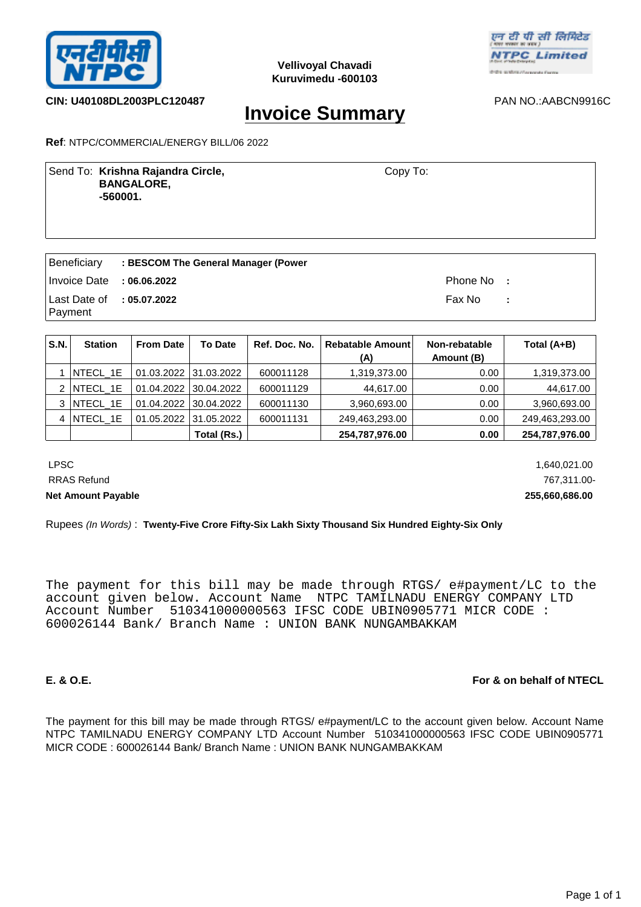



**CIN: U40108DL2003PLC120487** PAN NO.:AABCN9916C

# **Invoice Summary**

**Ref**: NTPC/COMMERCIAL/ENERGY BILL/06 2022

Send To: Krishna Rajandra Circle, **New York Constructs** Copy To:  **BANGALORE, -560001.**

Copy To:

| Beneficiary                            | : BESCOM The General Manager (Power |            |   |
|----------------------------------------|-------------------------------------|------------|---|
| Invoice Date : 06.06.2022              |                                     | Phone No : |   |
| Last Date of : 05.07.2022<br>  Payment |                                     | Fax No     | ÷ |

| S.N. | <b>Station</b>   | <b>From Date</b> | <b>To Date</b>        | Ref. Doc. No. | Rebatable Amount<br>(A) | Non-rebatable<br>Amount (B) | Total (A+B)    |
|------|------------------|------------------|-----------------------|---------------|-------------------------|-----------------------------|----------------|
|      | NTECL 1E         |                  | 01.03.2022 31.03.2022 | 600011128     | 1,319,373.00            | 0.00                        | 1,319,373.00   |
|      | NTECL_1E         | 01.04.2022       | 30.04.2022            | 600011129     | 44,617.00               | 0.00                        | 44,617.00      |
| 3    | <b>INTECL 1E</b> | 01.04.2022       | 30.04.2022            | 600011130     | 3,960,693.00            | 0.00                        | 3,960,693.00   |
| 4    | NTECL_1E         | 01.05.2022       | 31.05.2022            | 600011131     | 249,463,293.00          | 0.00                        | 249,463,293.00 |
|      |                  |                  | Total (Rs.)           |               | 254,787,976.00          | 0.00                        | 254,787,976.00 |

LPSC 1,640,021.00 RRAS Refund 767,311.00-**Net Amount Payable 255,660,686.00** 

# Rupees *(In Words)* : **Twenty-Five Crore Fifty-Six Lakh Sixty Thousand Six Hundred Eighty-Six Only**

The payment for this bill may be made through RTGS/ e#payment/LC to the account given below. Account Name NTPC TAMILNADU ENERGY COMPANY LTD Account Number 510341000000563 IFSC CODE UBIN0905771 MICR CODE : 600026144 Bank/ Branch Name : UNION BANK NUNGAMBAKKAM

## **E. & O.E. For & on behalf of NTECL**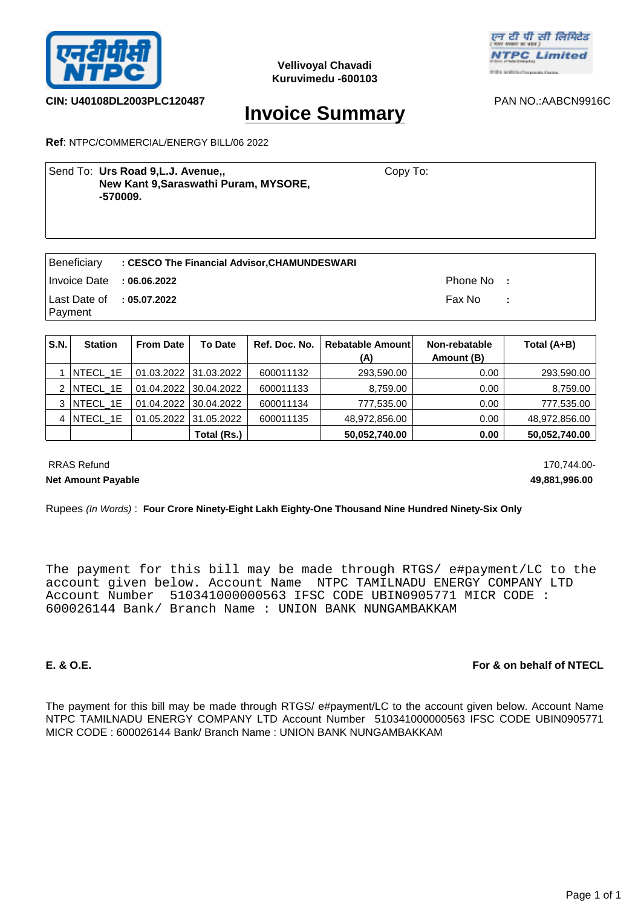



# **CIN: U40108DL2003PLC120487** PAN NO.:AABCN9916C

# **Invoice Summary**

**Ref**: NTPC/COMMERCIAL/ENERGY BILL/06 2022

| Send To: Urs Road 9, L.J. Avenue,,<br>New Kant 9, Saraswathi Puram, MYSORE,<br>-570009. | Copy To: |
|-----------------------------------------------------------------------------------------|----------|
|                                                                                         |          |

|                                      | Beneficiary : CESCO The Financial Advisor, CHAMUNDESWARI |            |  |
|--------------------------------------|----------------------------------------------------------|------------|--|
| Invoice Date : $06.06.2022$          |                                                          | Phone No : |  |
| Last Date of $\therefore$ 05.07.2022 |                                                          | Fax No :   |  |
| Payment                              |                                                          |            |  |

| S.N. | <b>Station</b> | <b>From Date</b> | <b>To Date</b>        | Ref. Doc. No. | <b>Rebatable Amount</b><br>(A) | Non-rebatable<br>Amount (B) | Total (A+B)   |
|------|----------------|------------------|-----------------------|---------------|--------------------------------|-----------------------------|---------------|
|      | NTECL_1E       |                  | 01.03.2022 31.03.2022 | 600011132     | 293,590.00                     | 0.00                        | 293,590.00    |
| 2    | NTECL_1E       |                  | 01.04.2022 30.04.2022 | 600011133     | 8,759.00                       | 0.00                        | 8,759.00      |
| 3    | NTECL 1E       |                  | 01.04.2022 30.04.2022 | 600011134     | 777,535.00                     | 0.00                        | 777,535.00    |
| 4    | NTECL_1E       |                  | 01.05.2022 31.05.2022 | 600011135     | 48,972,856.00                  | 0.00                        | 48,972,856.00 |
|      |                |                  | Total (Rs.)           |               | 50,052,740.00                  | 0.00                        | 50,052,740.00 |

RRAS Refund 170,744.00-

**Net Amount Payable 49,881,996.00** 

### Rupees *(In Words)* : **Four Crore Ninety-Eight Lakh Eighty-One Thousand Nine Hundred Ninety-Six Only**

The payment for this bill may be made through RTGS/ e#payment/LC to the account given below. Account Name NTPC TAMILNADU ENERGY COMPANY LTD Account Number 510341000000563 IFSC CODE UBIN0905771 MICR CODE : 600026144 Bank/ Branch Name : UNION BANK NUNGAMBAKKAM

## **E. & O.E. For & on behalf of NTECL**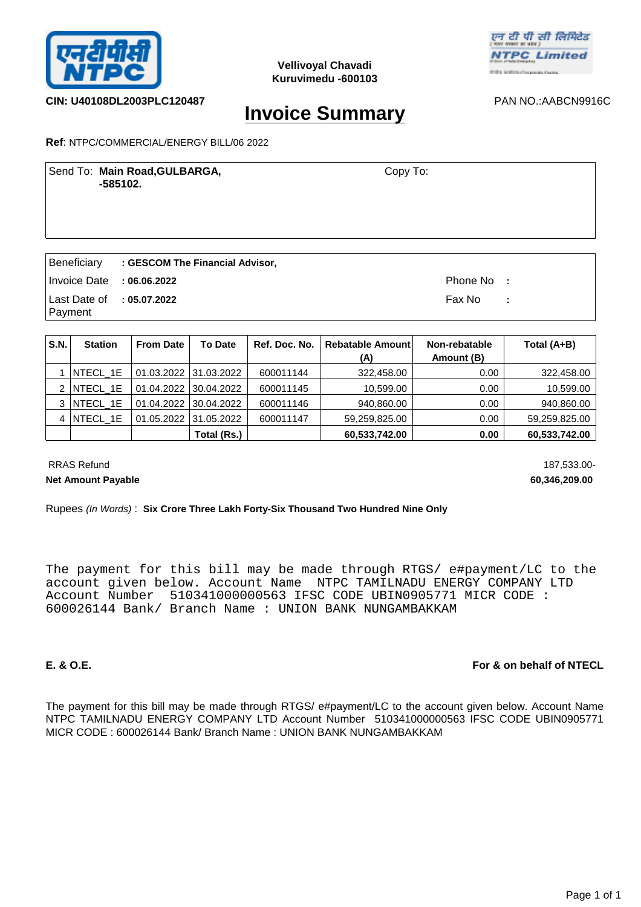



## **CIN: U40108DL2003PLC120487** PAN NO.:AABCN9916C

# **Invoice Summary**

### **Ref**: NTPC/COMMERCIAL/ENERGY BILL/06 2022

Send To: **Main Road,GULBARGA,** Send To: Copy To:  **-585102.**

Copy To:

|                                        | Beneficiary : GESCOM The Financial Advisor, |            |  |
|----------------------------------------|---------------------------------------------|------------|--|
| Invoice Date : 06.06.2022              |                                             | Phone No : |  |
| Last Date of : $05.07.2022$<br>Payment |                                             | Fax No : : |  |

| S.N. | <b>Station</b>  | <b>From Date</b> | <b>To Date</b>        | Ref. Doc. No. | Rebatable Amount<br>(A) | Non-rebatable<br>Amount (B) | Total (A+B)   |
|------|-----------------|------------------|-----------------------|---------------|-------------------------|-----------------------------|---------------|
|      | NTECL 1E        |                  | 01.03.2022 31.03.2022 | 600011144     | 322,458.00              | 0.00                        | 322,458.00    |
| 2    | <b>NTECL 1E</b> |                  | 01.04.2022 30.04.2022 | 600011145     | 10.599.00               | 0.00                        | 10,599.00     |
| 3    | NTECL 1E        |                  | 01.04.2022 30.04.2022 | 600011146     | 940,860.00              | 0.00                        | 940,860.00    |
| 4    | NTECL 1E        | 01.05.2022       | 31.05.2022            | 600011147     | 59,259,825.00           | 0.00                        | 59,259,825.00 |
|      |                 |                  | Total (Rs.)           |               | 60,533,742.00           | 0.00                        | 60,533,742.00 |

RRAS Refund 187,533.00-**Net Amount Payable 60,346,209.00** 

Rupees *(In Words)* : **Six Crore Three Lakh Forty-Six Thousand Two Hundred Nine Only**

The payment for this bill may be made through RTGS/ e#payment/LC to the account given below. Account Name NTPC TAMILNADU ENERGY COMPANY LTD Account Number 510341000000563 IFSC CODE UBIN0905771 MICR CODE : 600026144 Bank/ Branch Name : UNION BANK NUNGAMBAKKAM

# **E. & O.E. For & on behalf of NTECL**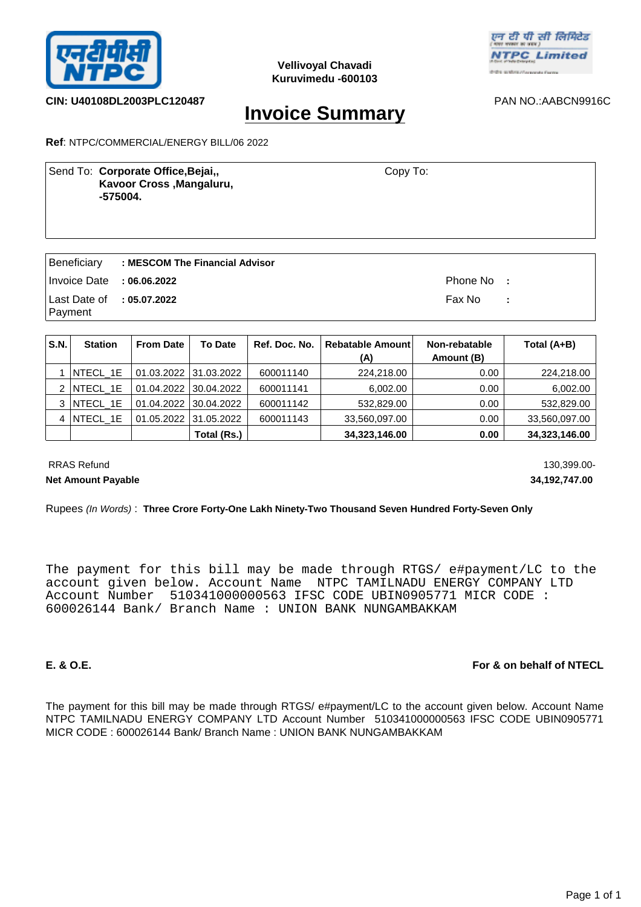



**CIN: U40108DL2003PLC120487** PAN NO.:AABCN9916C

# **Invoice Summary**

**Ref**: NTPC/COMMERCIAL/ENERGY BILL/06 2022

| Send To: Corporate Office, Bejai,,<br>Kavoor Cross, Mangaluru,<br>-575004. | Copy To: |  |
|----------------------------------------------------------------------------|----------|--|
|                                                                            |          |  |

|                                                | Beneficiary : MESCOM The Financial Advisor |            |      |
|------------------------------------------------|--------------------------------------------|------------|------|
| $\blacksquare$ Invoice Date : 06.06.2022       |                                            | Phone No : |      |
| $\vert$ Last Date of : 05.07.2022<br>  Payment |                                            | Fax No     | - 10 |

| <b>S.N.</b> | <b>Station</b>  | <b>From Date</b> | <b>To Date</b>        | Ref. Doc. No. | <b>Rebatable Amountl</b><br>(A) | Non-rebatable<br>Amount (B) | Total (A+B)   |
|-------------|-----------------|------------------|-----------------------|---------------|---------------------------------|-----------------------------|---------------|
|             | INTECL 1E       |                  | 01.03.2022 31.03.2022 | 600011140     | 224,218.00                      | 0.00                        | 224,218.00    |
|             | NTECL_1E        |                  | 01.04.2022 30.04.2022 | 600011141     | 6.002.00                        | 0.00                        | 6,002.00      |
|             | 3   NTECL 1E    |                  | 01.04.2022 30.04.2022 | 600011142     | 532,829.00                      | 0.00                        | 532,829.00    |
| 4           | <b>NTECL 1E</b> |                  | 01.05.2022 31.05.2022 | 600011143     | 33,560,097.00                   | 0.00                        | 33,560,097.00 |
|             |                 |                  | Total (Rs.)           |               | 34,323,146.00                   | 0.00                        | 34,323,146.00 |

RRAS Refund 130,399.00-**Net Amount Payable 34,192,747.00** 

### Rupees *(In Words)* : **Three Crore Forty-One Lakh Ninety-Two Thousand Seven Hundred Forty-Seven Only**

The payment for this bill may be made through RTGS/ e#payment/LC to the account given below. Account Name NTPC TAMILNADU ENERGY COMPANY LTD Account Number 510341000000563 IFSC CODE UBIN0905771 MICR CODE : 600026144 Bank/ Branch Name : UNION BANK NUNGAMBAKKAM

## **E. & O.E. For & on behalf of NTECL**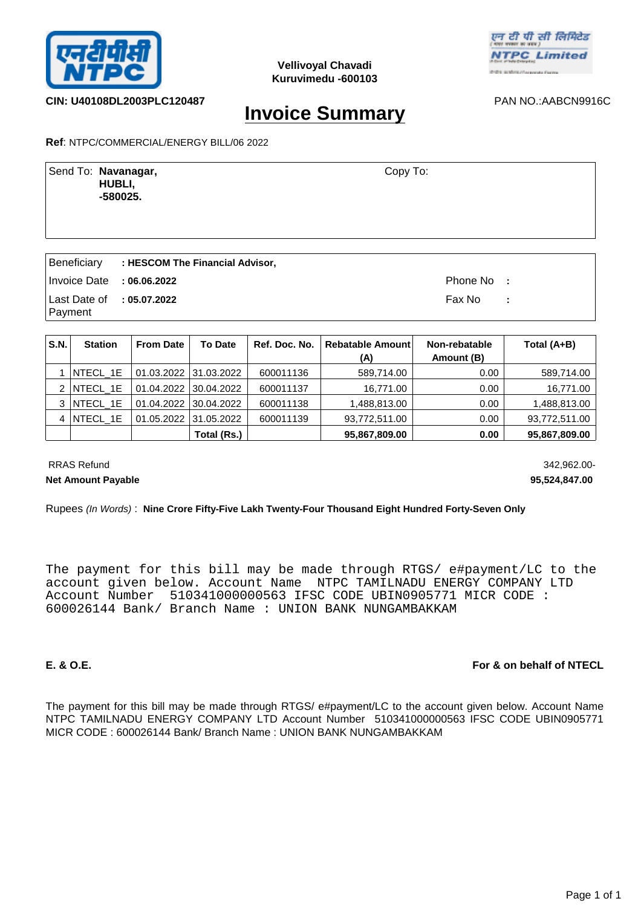



## **CIN: U40108DL2003PLC120487** PAN NO.:AABCN9916C

# **Invoice Summary**

**Ref**: NTPC/COMMERCIAL/ENERGY BILL/06 2022

| Send To: Navanagar,<br>HUBLI,<br>$-580025.$ | Copy To: |
|---------------------------------------------|----------|
|                                             |          |

|                                          | Beneficiary : HESCOM The Financial Advisor, |            |  |
|------------------------------------------|---------------------------------------------|------------|--|
| Invoice Date : $06.06.2022$              |                                             | Phone No : |  |
| Last Date of : $05.07.2022$<br>  Payment |                                             | Fax No : : |  |

| S.N. | <b>Station</b> | <b>From Date</b> | <b>To Date</b>        | Ref. Doc. No. | <b>Rebatable Amount</b><br>(A) | Non-rebatable<br>Amount (B) | Total (A+B)   |
|------|----------------|------------------|-----------------------|---------------|--------------------------------|-----------------------------|---------------|
|      | NTECL 1E       |                  | 01.03.2022 31.03.2022 | 600011136     | 589,714.00                     | 0.00                        | 589,714.00    |
|      | $2$ NTECL 1E   |                  | 01.04.2022 30.04.2022 | 600011137     | 16,771.00                      | 0.00                        | 16,771.00     |
| 3    | NTECL 1E       |                  | 01.04.2022 30.04.2022 | 600011138     | 1,488,813.00                   | 0.00                        | 1,488,813.00  |
| 4    | NTECL 1E       |                  | 01.05.2022 31.05.2022 | 600011139     | 93,772,511.00                  | 0.00                        | 93,772,511.00 |
|      |                |                  | Total (Rs.)           |               | 95,867,809.00                  | 0.00                        | 95,867,809.00 |

RRAS Refund 342,962.00-

**Net Amount Payable 95,524,847.00** 

### Rupees *(In Words)* : **Nine Crore Fifty-Five Lakh Twenty-Four Thousand Eight Hundred Forty-Seven Only**

The payment for this bill may be made through RTGS/ e#payment/LC to the account given below. Account Name NTPC TAMILNADU ENERGY COMPANY LTD Account Number 510341000000563 IFSC CODE UBIN0905771 MICR CODE : 600026144 Bank/ Branch Name : UNION BANK NUNGAMBAKKAM

## **E. & O.E. For & on behalf of NTECL**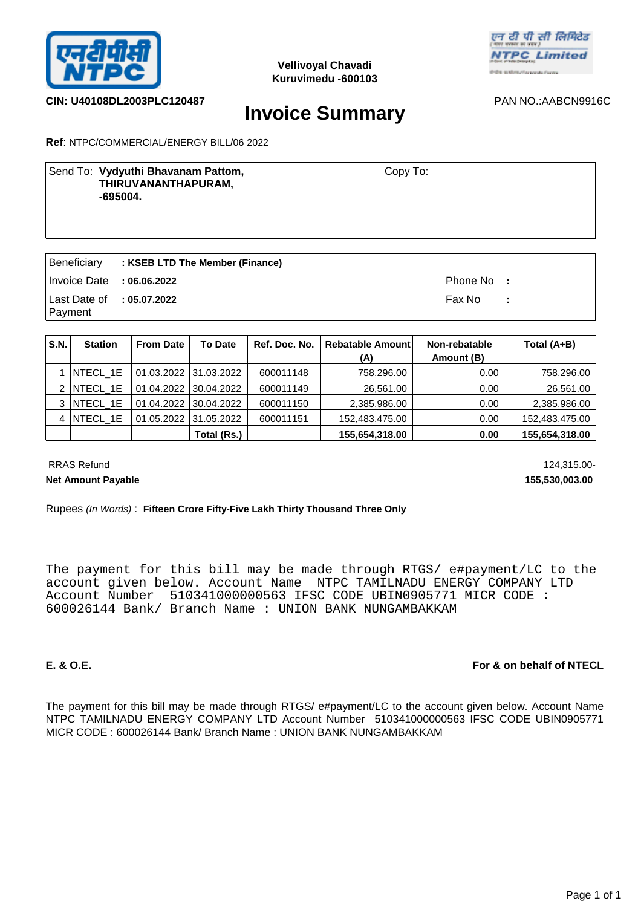



## **CIN: U40108DL2003PLC120487** PAN NO.:AABCN9916C

# **Invoice Summary**

**Ref**: NTPC/COMMERCIAL/ENERGY BILL/06 2022

## Send To: Vydyuthi Bhavanam Pattom, **New York Constants Copy To: THIRUVANANTHAPURAM, -695004.**

Copy To:

|                                      | Beneficiary : KSEB LTD The Member (Finance) |            |  |
|--------------------------------------|---------------------------------------------|------------|--|
| Invoice Date : 06.06.2022            |                                             | Phone No : |  |
| Last Date of : 05.07.2022<br>Payment |                                             | Fax No :   |  |
|                                      |                                             |            |  |

| S.N. | <b>Station</b>   | <b>From Date</b> | <b>To Date</b>        | Ref. Doc. No. | Rebatable Amount | Non-rebatable | Total (A+B)    |
|------|------------------|------------------|-----------------------|---------------|------------------|---------------|----------------|
|      |                  |                  |                       |               | (A)              | Amount (B)    |                |
|      | <b>INTECL 1E</b> |                  | 01.03.2022 31.03.2022 | 600011148     | 758,296.00       | 0.00          | 758,296.00     |
| 2    | NTECL 1E         |                  | 01.04.2022 30.04.2022 | 600011149     | 26,561.00        | 0.00          | 26,561.00      |
|      | 3   NTECL 1E     |                  | 01.04.2022 30.04.2022 | 600011150     | 2,385,986.00     | 0.00          | 2,385,986.00   |
| 4    | NTECL 1E         | 01.05.2022       | 31.05.2022            | 600011151     | 152.483.475.00   | 0.00          | 152,483,475.00 |
|      |                  |                  | Total (Rs.)           |               | 155,654,318.00   | 0.00          | 155,654,318.00 |

RRAS Refund 124,315.00-**Net Amount Payable 155,530,003.00** 

Rupees *(In Words)* : **Fifteen Crore Fifty-Five Lakh Thirty Thousand Three Only**

The payment for this bill may be made through RTGS/ e#payment/LC to the account given below. Account Name NTPC TAMILNADU ENERGY COMPANY LTD Account Number 510341000000563 IFSC CODE UBIN0905771 MICR CODE : 600026144 Bank/ Branch Name : UNION BANK NUNGAMBAKKAM

# **E. & O.E. For & on behalf of NTECL**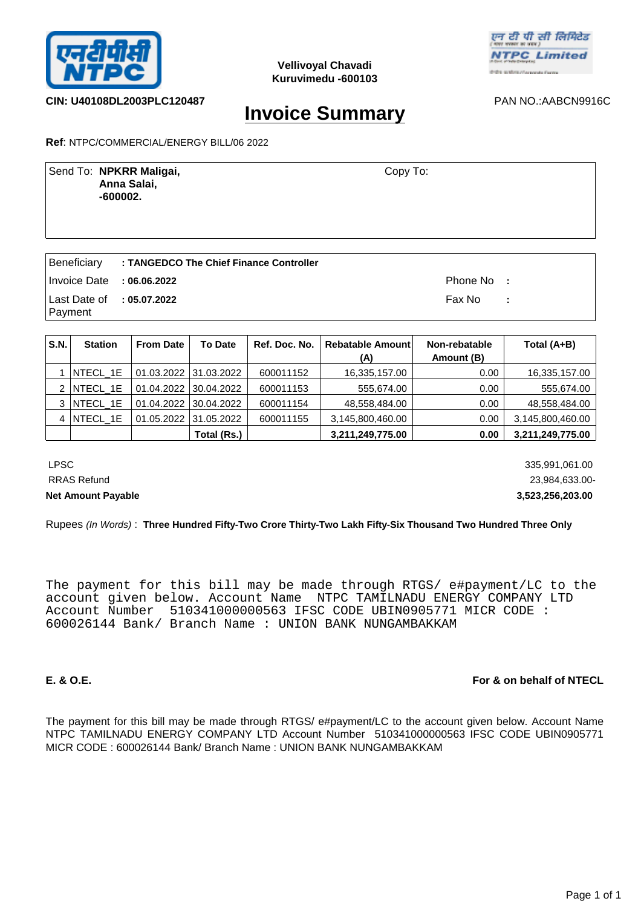



**CIN: U40108DL2003PLC120487** PAN NO.:AABCN9916C

# **Invoice Summary**

**Ref**: NTPC/COMMERCIAL/ENERGY BILL/06 2022

Send To: **NPKRR Maligai, NPKRR Maligai**, **NPS** Copy To:  **Anna Salai, -600002.** Copy To:

|                                      | Beneficiary : TANGEDCO The Chief Finance Controller |            |  |
|--------------------------------------|-----------------------------------------------------|------------|--|
| Invoice Date : $06.06.2022$          |                                                     | Phone No : |  |
| Last Date of : 05.07.2022<br>Payment |                                                     | Fax No :   |  |

| S.N. | <b>Station</b>  | <b>From Date</b> | <b>To Date</b>        | Ref. Doc. No. | Rebatable Amount<br>(A) | Non-rebatable<br>Amount (B) | Total (A+B)      |
|------|-----------------|------------------|-----------------------|---------------|-------------------------|-----------------------------|------------------|
|      | <b>NTECL 1E</b> |                  | 01.03.2022 31.03.2022 | 600011152     | 16,335,157.00           | 0.00                        | 16,335,157.00    |
|      | $2$ NTECL 1E    |                  | 01.04.2022 30.04.2022 | 600011153     | 555,674.00              | 0.00                        | 555,674.00       |
| 3    | NTECL 1E        | 01.04.2022       | 30.04.2022            | 600011154     | 48,558,484.00           | 0.00                        | 48,558,484.00    |
| 4    | NTECL 1E        | 01.05.2022       | 31.05.2022            | 600011155     | 3,145,800,460.00        | 0.00                        | 3,145,800,460.00 |
|      |                 |                  | Total (Rs.)           |               | 3,211,249,775.00        | 0.00                        | 3,211,249,775.00 |

 LPSC 335,991,061.00 RRAS Refund 23,984,633.00- **Net Amount Payable 3,523,256,203.00** 

Rupees *(In Words)* : **Three Hundred Fifty-Two Crore Thirty-Two Lakh Fifty-Six Thousand Two Hundred Three Only**

The payment for this bill may be made through RTGS/ e#payment/LC to the account given below. Account Name NTPC TAMILNADU ENERGY COMPANY LTD Account Number 510341000000563 IFSC CODE UBIN0905771 MICR CODE : 600026144 Bank/ Branch Name : UNION BANK NUNGAMBAKKAM

## **E. & O.E. For & on behalf of NTECL**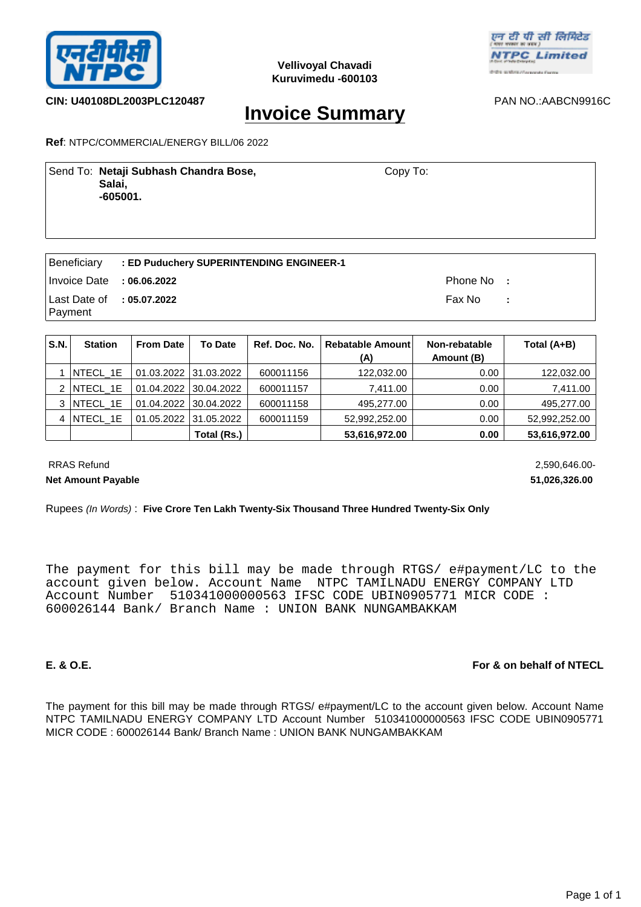



**CIN: U40108DL2003PLC120487** PAN NO.:AABCN9916C

# **Invoice Summary**

**Ref**: NTPC/COMMERCIAL/ENERGY BILL/06 2022

Send To: Netaji Subhash Chandra Bose, **Netally School Copy To: Salai, -605001.** Copy To:

|                             | Beneficiary : ED Puduchery SUPERINTENDING ENGINEER-1 |            |  |
|-----------------------------|------------------------------------------------------|------------|--|
| Invoice Date : $06.06.2022$ |                                                      | Phone No : |  |
| Last Date of : 05.07.2022   |                                                      | Fax No : : |  |
| Payment                     |                                                      |            |  |

| S.N. | <b>Station</b>  | <b>From Date</b> | <b>To Date</b>        | Ref. Doc. No. | <b>Rebatable Amountl</b><br>(A) | Non-rebatable<br>Amount (B) | Total (A+B)   |
|------|-----------------|------------------|-----------------------|---------------|---------------------------------|-----------------------------|---------------|
|      | $ NTECL_1E $    |                  | 01.03.2022 31.03.2022 | 600011156     | 122,032.00                      | 0.00                        | 122,032.00    |
| 2    | <b>NTECL 1E</b> |                  | 01.04.2022 30.04.2022 | 600011157     | 7.411.00                        | 0.00                        | 7,411.00      |
|      | 3   NTECL 1E    |                  | 01.04.2022 30.04.2022 | 600011158     | 495.277.00                      | 0.00                        | 495,277.00    |
| 4    | NTECL_1E        |                  | 01.05.2022 31.05.2022 | 600011159     | 52,992,252.00                   | 0.00                        | 52,992,252.00 |
|      |                 |                  | Total (Rs.)           |               | 53,616,972.00                   | 0.00                        | 53,616,972.00 |

 RRAS Refund 2,590,646.00- **Net Amount Payable 51,026,326.00** 

Rupees *(In Words)* : **Five Crore Ten Lakh Twenty-Six Thousand Three Hundred Twenty-Six Only**

The payment for this bill may be made through RTGS/ e#payment/LC to the account given below. Account Name NTPC TAMILNADU ENERGY COMPANY LTD Account Number 510341000000563 IFSC CODE UBIN0905771 MICR CODE : 600026144 Bank/ Branch Name : UNION BANK NUNGAMBAKKAM

# **E. & O.E. For & on behalf of NTECL**